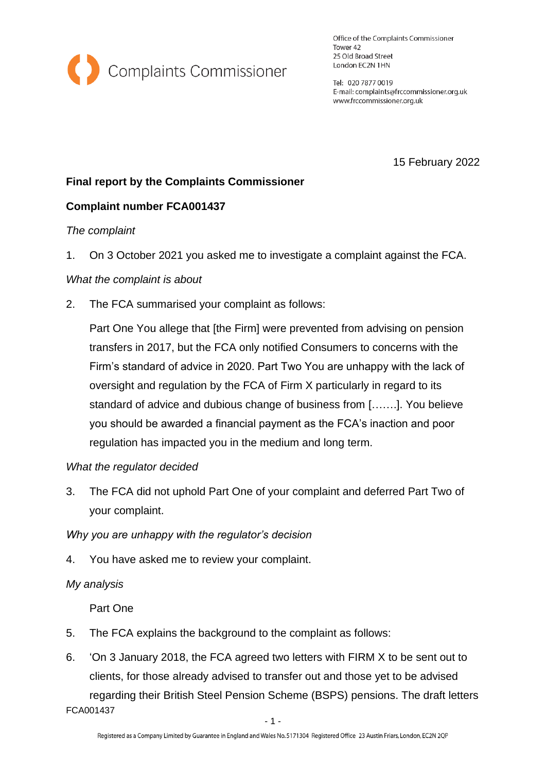

Office of the Complaints Commissioner Tower 42 25 Old Broad Street London EC2N 1HN

Tel: 020 7877 0019 E-mail: complaints@frccommissioner.org.uk www.frccommissioner.org.uk

15 February 2022

# **Final report by the Complaints Commissioner**

## **Complaint number FCA001437**

### *The complaint*

1. On 3 October 2021 you asked me to investigate a complaint against the FCA.

### *What the complaint is about*

2. The FCA summarised your complaint as follows:

Part One You allege that [the Firm] were prevented from advising on pension transfers in 2017, but the FCA only notified Consumers to concerns with the Firm's standard of advice in 2020. Part Two You are unhappy with the lack of oversight and regulation by the FCA of Firm X particularly in regard to its standard of advice and dubious change of business from […….]. You believe you should be awarded a financial payment as the FCA's inaction and poor regulation has impacted you in the medium and long term.

### *What the regulator decided*

3. The FCA did not uphold Part One of your complaint and deferred Part Two of your complaint.

*Why you are unhappy with the regulator's decision*

4. You have asked me to review your complaint.

### *My analysis*

Part One

- 5. The FCA explains the background to the complaint as follows:
- FCA001437 6. 'On 3 January 2018, the FCA agreed two letters with FIRM X to be sent out to clients, for those already advised to transfer out and those yet to be advised regarding their British Steel Pension Scheme (BSPS) pensions. The draft letters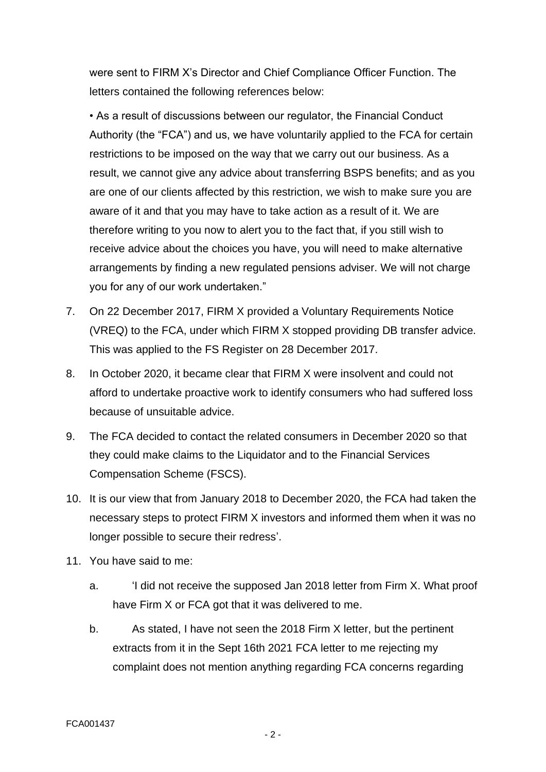were sent to FIRM X's Director and Chief Compliance Officer Function. The letters contained the following references below:

• As a result of discussions between our regulator, the Financial Conduct Authority (the "FCA") and us, we have voluntarily applied to the FCA for certain restrictions to be imposed on the way that we carry out our business. As a result, we cannot give any advice about transferring BSPS benefits; and as you are one of our clients affected by this restriction, we wish to make sure you are aware of it and that you may have to take action as a result of it. We are therefore writing to you now to alert you to the fact that, if you still wish to receive advice about the choices you have, you will need to make alternative arrangements by finding a new regulated pensions adviser. We will not charge you for any of our work undertaken."

- 7. On 22 December 2017, FIRM X provided a Voluntary Requirements Notice (VREQ) to the FCA, under which FIRM X stopped providing DB transfer advice. This was applied to the FS Register on 28 December 2017.
- 8. In October 2020, it became clear that FIRM X were insolvent and could not afford to undertake proactive work to identify consumers who had suffered loss because of unsuitable advice.
- 9. The FCA decided to contact the related consumers in December 2020 so that they could make claims to the Liquidator and to the Financial Services Compensation Scheme (FSCS).
- 10. It is our view that from January 2018 to December 2020, the FCA had taken the necessary steps to protect FIRM X investors and informed them when it was no longer possible to secure their redress'.
- 11. You have said to me:
	- a. 'I did not receive the supposed Jan 2018 letter from Firm X. What proof have Firm X or FCA got that it was delivered to me.
	- b. As stated, I have not seen the 2018 Firm X letter, but the pertinent extracts from it in the Sept 16th 2021 FCA letter to me rejecting my complaint does not mention anything regarding FCA concerns regarding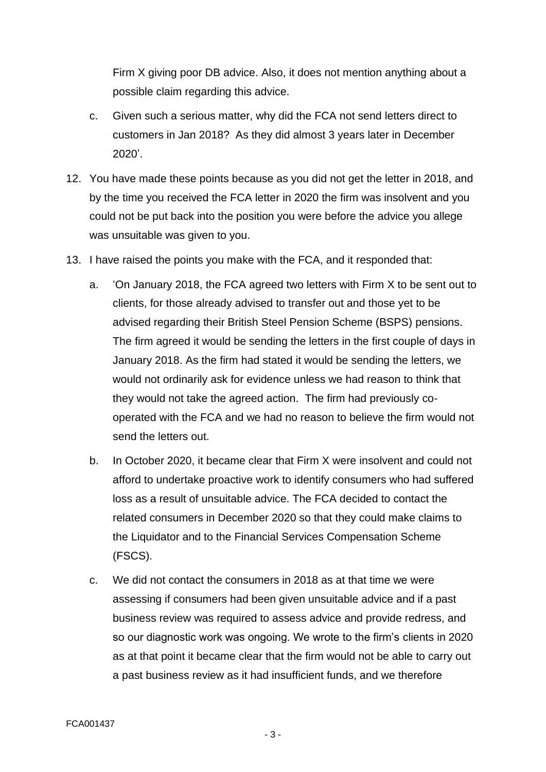Firm X giving poor DB advice. Also, it does not mention anything about a possible claim regarding this advice.

- c. Given such a serious matter, why did the FCA not send letters direct to customers in Jan 2018? As they did almost 3 years later in December 2020'.
- 12. You have made these points because as you did not get the letter in 2018, and by the time you received the FCA letter in 2020 the firm was insolvent and you could not be put back into the position you were before the advice you allege was unsuitable was given to you.
- 13. I have raised the points you make with the FCA, and it responded that:
	- a. 'On January 2018, the FCA agreed two letters with Firm X to be sent out to clients, for those already advised to transfer out and those yet to be advised regarding their British Steel Pension Scheme (BSPS) pensions. The firm agreed it would be sending the letters in the first couple of days in January 2018. As the firm had stated it would be sending the letters, we would not ordinarily ask for evidence unless we had reason to think that they would not take the agreed action. The firm had previously cooperated with the FCA and we had no reason to believe the firm would not send the letters out.
	- b. In October 2020, it became clear that Firm X were insolvent and could not afford to undertake proactive work to identify consumers who had suffered loss as a result of unsuitable advice. The FCA decided to contact the related consumers in December 2020 so that they could make claims to the Liquidator and to the Financial Services Compensation Scheme (FSCS).
	- c. We did not contact the consumers in 2018 as at that time we were assessing if consumers had been given unsuitable advice and if a past business review was required to assess advice and provide redress, and so our diagnostic work was ongoing. We wrote to the firm's clients in 2020 as at that point it became clear that the firm would not be able to carry out a past business review as it had insufficient funds, and we therefore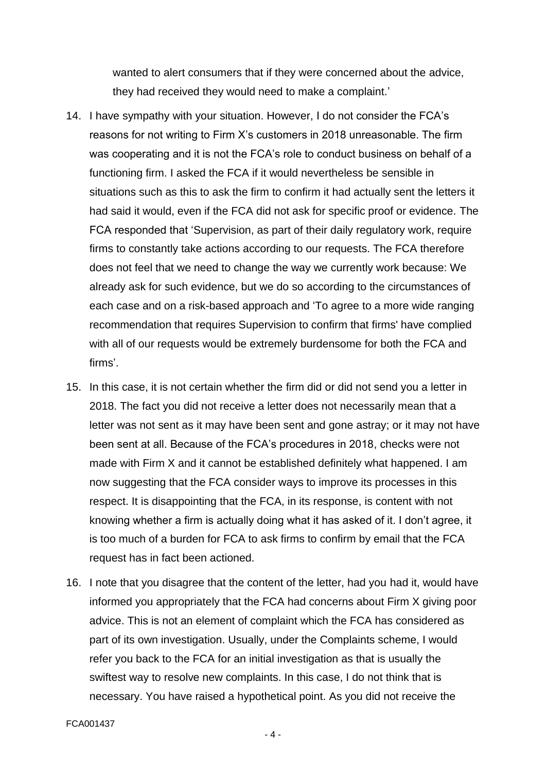wanted to alert consumers that if they were concerned about the advice, they had received they would need to make a complaint.'

- 14. I have sympathy with your situation. However, I do not consider the FCA's reasons for not writing to Firm X's customers in 2018 unreasonable. The firm was cooperating and it is not the FCA's role to conduct business on behalf of a functioning firm. I asked the FCA if it would nevertheless be sensible in situations such as this to ask the firm to confirm it had actually sent the letters it had said it would, even if the FCA did not ask for specific proof or evidence. The FCA responded that 'Supervision, as part of their daily regulatory work, require firms to constantly take actions according to our requests. The FCA therefore does not feel that we need to change the way we currently work because: We already ask for such evidence, but we do so according to the circumstances of each case and on a risk-based approach and 'To agree to a more wide ranging recommendation that requires Supervision to confirm that firms' have complied with all of our requests would be extremely burdensome for both the FCA and firms'.
- 15. In this case, it is not certain whether the firm did or did not send you a letter in 2018. The fact you did not receive a letter does not necessarily mean that a letter was not sent as it may have been sent and gone astray; or it may not have been sent at all. Because of the FCA's procedures in 2018, checks were not made with Firm X and it cannot be established definitely what happened. I am now suggesting that the FCA consider ways to improve its processes in this respect. It is disappointing that the FCA, in its response, is content with not knowing whether a firm is actually doing what it has asked of it. I don't agree, it is too much of a burden for FCA to ask firms to confirm by email that the FCA request has in fact been actioned.
- 16. I note that you disagree that the content of the letter, had you had it, would have informed you appropriately that the FCA had concerns about Firm X giving poor advice. This is not an element of complaint which the FCA has considered as part of its own investigation. Usually, under the Complaints scheme, I would refer you back to the FCA for an initial investigation as that is usually the swiftest way to resolve new complaints. In this case, I do not think that is necessary. You have raised a hypothetical point. As you did not receive the

- 4 -